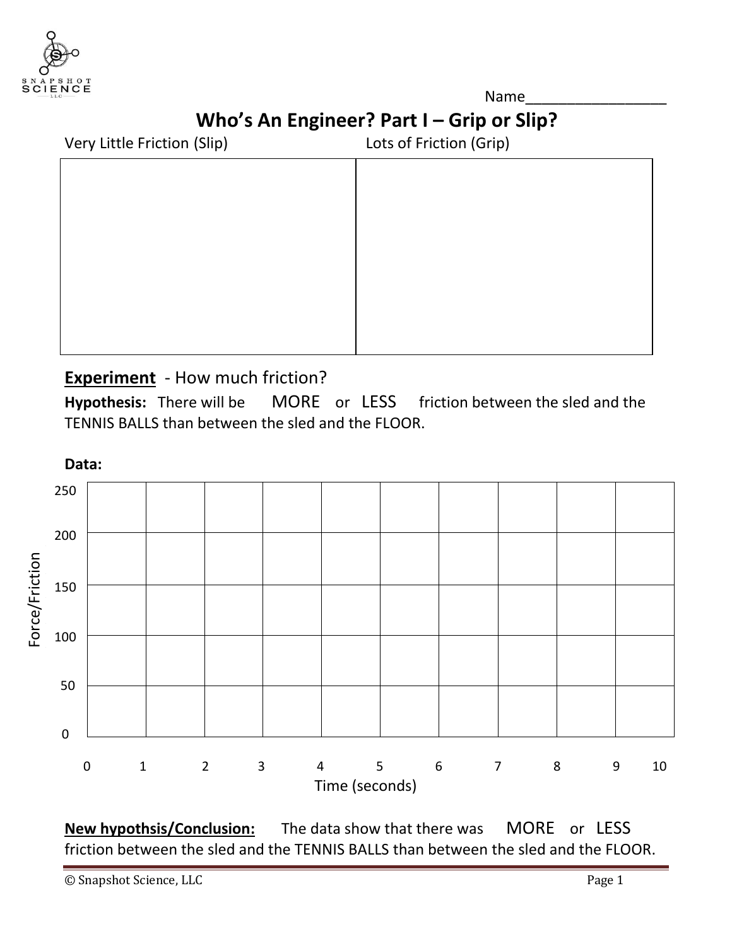

Name\_\_\_\_\_\_\_\_\_\_\_\_\_\_\_\_\_  **Who's An Engineer? Part I – Grip or Slip?**

| Very Little Friction (Slip) | Lots of Friction (Grip) |  |  |
|-----------------------------|-------------------------|--|--|
|                             |                         |  |  |
|                             |                         |  |  |
|                             |                         |  |  |
|                             |                         |  |  |
|                             |                         |  |  |
|                             |                         |  |  |
|                             |                         |  |  |
|                             |                         |  |  |

# **Experiment** - How much friction?

**Hypothesis:** There will be MORE or LESS friction between the sled and the TENNIS BALLS than between the sled and the FLOOR.



**New hypothsis/Conclusion:** The data show that there was MORE or LESS friction between the sled and the TENNIS BALLS than between the sled and the FLOOR.

© Snapshot Science, LLC Page 1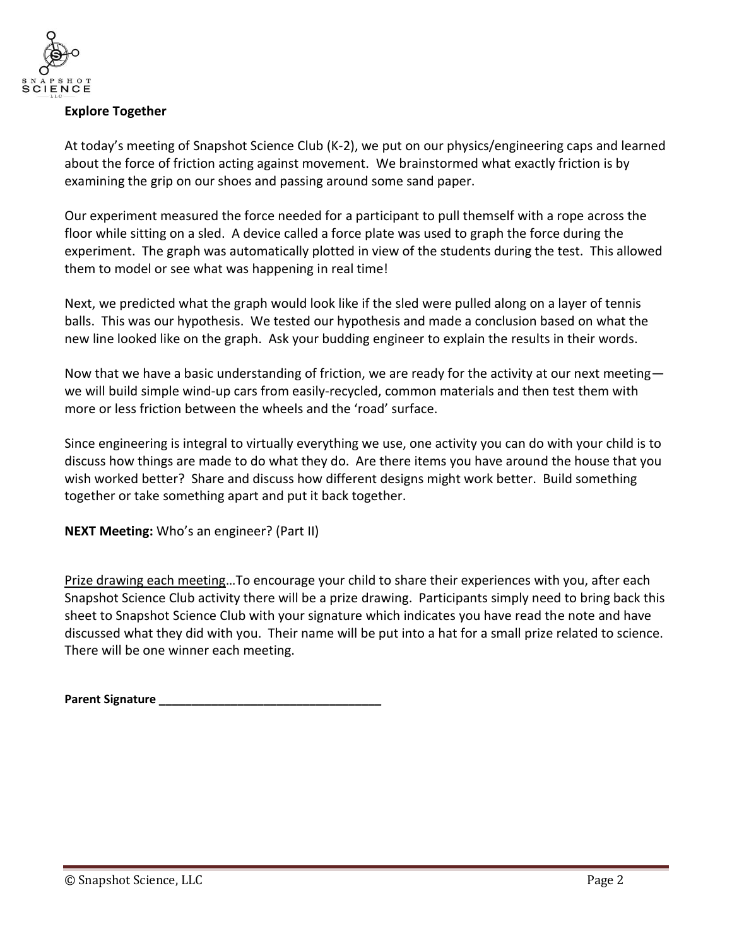

## **Explore Together**

At today's meeting of Snapshot Science Club (K-2), we put on our physics/engineering caps and learned about the force of friction acting against movement. We brainstormed what exactly friction is by examining the grip on our shoes and passing around some sand paper.

Our experiment measured the force needed for a participant to pull themself with a rope across the floor while sitting on a sled. A device called a force plate was used to graph the force during the experiment. The graph was automatically plotted in view of the students during the test. This allowed them to model or see what was happening in real time!

Next, we predicted what the graph would look like if the sled were pulled along on a layer of tennis balls. This was our hypothesis. We tested our hypothesis and made a conclusion based on what the new line looked like on the graph. Ask your budding engineer to explain the results in their words.

Now that we have a basic understanding of friction, we are ready for the activity at our next meeting we will build simple wind-up cars from easily-recycled, common materials and then test them with more or less friction between the wheels and the 'road' surface.

Since engineering is integral to virtually everything we use, one activity you can do with your child is to discuss how things are made to do what they do. Are there items you have around the house that you wish worked better? Share and discuss how different designs might work better. Build something together or take something apart and put it back together.

**NEXT Meeting:** Who's an engineer? (Part II)

Prize drawing each meeting…To encourage your child to share their experiences with you, after each Snapshot Science Club activity there will be a prize drawing. Participants simply need to bring back this sheet to Snapshot Science Club with your signature which indicates you have read the note and have discussed what they did with you. Their name will be put into a hat for a small prize related to science. There will be one winner each meeting.

**Parent Signature \_\_\_\_\_\_\_\_\_\_\_\_\_\_\_\_\_\_\_\_\_\_\_\_\_\_\_\_\_\_\_\_\_\_**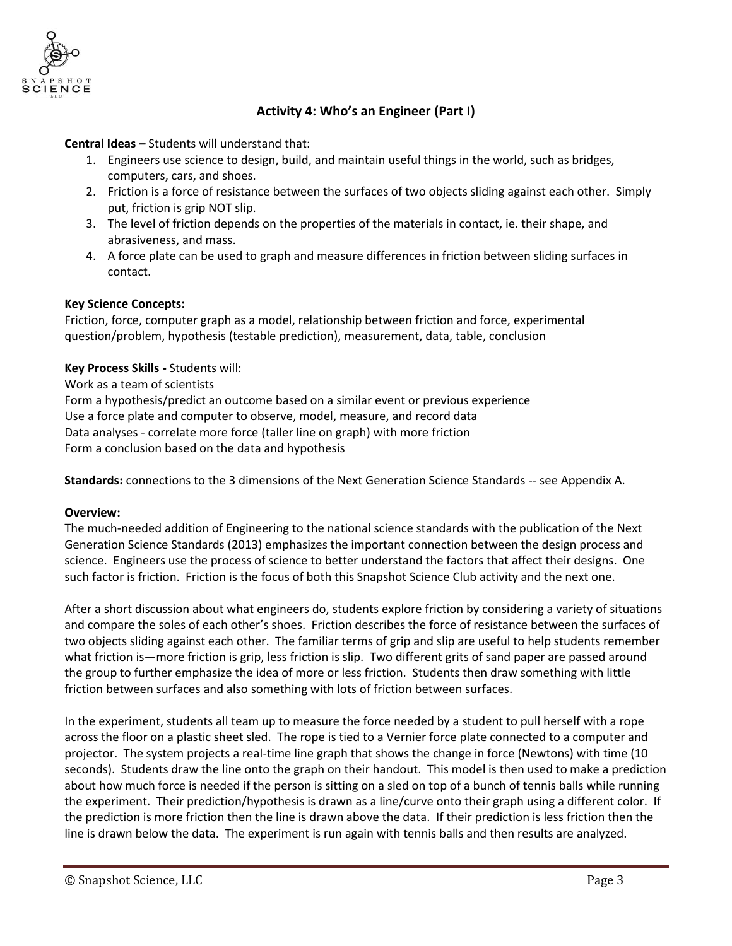

# **Activity 4: Who's an Engineer (Part I)**

**Central Ideas –** Students will understand that:

- 1. Engineers use science to design, build, and maintain useful things in the world, such as bridges, computers, cars, and shoes.
- 2. Friction is a force of resistance between the surfaces of two objects sliding against each other. Simply put, friction is grip NOT slip.
- 3. The level of friction depends on the properties of the materials in contact, ie. their shape, and abrasiveness, and mass.
- 4. A force plate can be used to graph and measure differences in friction between sliding surfaces in contact.

#### **Key Science Concepts:**

Friction, force, computer graph as a model, relationship between friction and force, experimental question/problem, hypothesis (testable prediction), measurement, data, table, conclusion

**Key Process Skills -** Students will:

Work as a team of scientists

Form a hypothesis/predict an outcome based on a similar event or previous experience Use a force plate and computer to observe, model, measure, and record data Data analyses - correlate more force (taller line on graph) with more friction Form a conclusion based on the data and hypothesis

**Standards:** connections to the 3 dimensions of the Next Generation Science Standards -- see Appendix A.

#### **Overview:**

The much-needed addition of Engineering to the national science standards with the publication of the Next Generation Science Standards (2013) emphasizes the important connection between the design process and science. Engineers use the process of science to better understand the factors that affect their designs. One such factor is friction. Friction is the focus of both this Snapshot Science Club activity and the next one.

After a short discussion about what engineers do, students explore friction by considering a variety of situations and compare the soles of each other's shoes. Friction describes the force of resistance between the surfaces of two objects sliding against each other. The familiar terms of grip and slip are useful to help students remember what friction is—more friction is grip, less friction is slip. Two different grits of sand paper are passed around the group to further emphasize the idea of more or less friction. Students then draw something with little friction between surfaces and also something with lots of friction between surfaces.

In the experiment, students all team up to measure the force needed by a student to pull herself with a rope across the floor on a plastic sheet sled. The rope is tied to a Vernier force plate connected to a computer and projector. The system projects a real-time line graph that shows the change in force (Newtons) with time (10 seconds). Students draw the line onto the graph on their handout. This model is then used to make a prediction about how much force is needed if the person is sitting on a sled on top of a bunch of tennis balls while running the experiment. Their prediction/hypothesis is drawn as a line/curve onto their graph using a different color. If the prediction is more friction then the line is drawn above the data. If their prediction is less friction then the line is drawn below the data. The experiment is run again with tennis balls and then results are analyzed.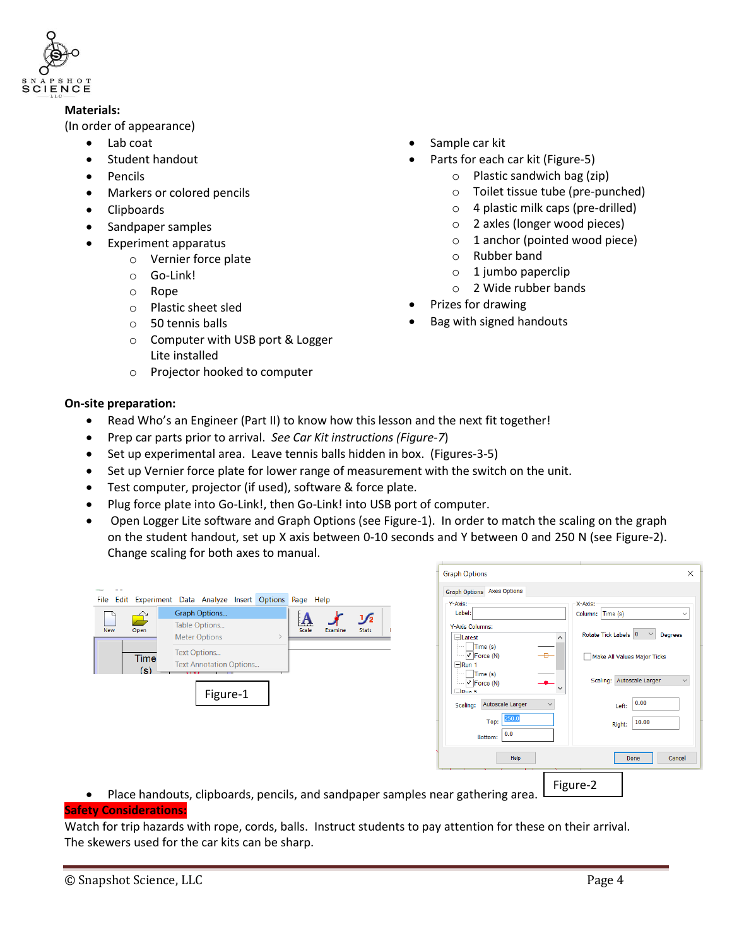

#### **Materials:**

(In order of appearance)

- Lab coat
- Student handout
- Pencils
- Markers or colored pencils
- Clipboards
- Sandpaper samples
- Experiment apparatus
	- o Vernier force plate
	- o Go-Link!
	- o Rope
	- o Plastic sheet sled
	- o 50 tennis balls
	- o Computer with USB port & Logger Lite installed
	- o Projector hooked to computer

## **On-site preparation:**

- Read Who's an Engineer (Part II) to know how this lesson and the next fit together!
- Prep car parts prior to arrival. *See Car Kit instructions (Figure-7*)
- Set up experimental area. Leave tennis balls hidden in box. (Figures-3-5)
- Set up Vernier force plate for lower range of measurement with the switch on the unit.
- Test computer, projector (if used), software & force plate.
- Plug force plate into Go-Link!, then Go-Link! into USB port of computer.
- Open Logger Lite software and Graph Options (see Figure-1). In order to match the scaling on the graph on the student handout, set up X axis between 0-10 seconds and Y between 0 and 250 N (see Figure-2). Change scaling for both axes to manual.

|                                                                                                          |                                                  | <b>Graph Options</b>                                                | $\times$                                                               |  |  |
|----------------------------------------------------------------------------------------------------------|--------------------------------------------------|---------------------------------------------------------------------|------------------------------------------------------------------------|--|--|
|                                                                                                          |                                                  | <b>Graph Options</b> Axes Options                                   |                                                                        |  |  |
| Experiment Data Analyze Insert Options Page Help<br>Edit<br>File                                         |                                                  | Y-Axis:                                                             | X-Axis:                                                                |  |  |
| Graph Options<br>$\hat{\mathbf{\Xi}}$                                                                    | J∕2                                              | Label:                                                              | Column: Time (s)                                                       |  |  |
| Table Options<br>Open<br><b>New</b>                                                                      | $\mathbf{A}$<br>Scale<br><b>Stats</b><br>Examine | Y-Axis Columns:                                                     |                                                                        |  |  |
| <b>Meter Options</b>                                                                                     |                                                  | $\lambda$<br>$\Box$ Latest                                          | Rotate Tick Labels $\begin{bmatrix} 0 & \vee \end{bmatrix}$<br>Degrees |  |  |
| Text Options                                                                                             |                                                  | Time (s)<br>$\overline{\phantom{a}}$<br>$\overline{\vee}$ Force (N) |                                                                        |  |  |
| <b>Time</b><br><b>Text Annotation Options</b>                                                            |                                                  | $\Box$ Run 1                                                        | Make All Values Major Ticks                                            |  |  |
| (s)                                                                                                      |                                                  | Time (s)                                                            |                                                                        |  |  |
|                                                                                                          |                                                  | $\boxed{\checkmark}$ Force (N)<br>$\Box$ Run 5                      | Scaling: Autoscale Larger                                              |  |  |
| Figure-1                                                                                                 |                                                  |                                                                     | 0.00                                                                   |  |  |
|                                                                                                          |                                                  | Autoscale Larger<br>Scaling:                                        | Left:                                                                  |  |  |
|                                                                                                          |                                                  | 250.0<br>Top:                                                       | 10.00<br>Right:                                                        |  |  |
|                                                                                                          |                                                  | 0.0<br>Bottom:                                                      |                                                                        |  |  |
|                                                                                                          |                                                  |                                                                     |                                                                        |  |  |
|                                                                                                          |                                                  | Help                                                                | Done<br>Cancel                                                         |  |  |
|                                                                                                          |                                                  |                                                                     |                                                                        |  |  |
| Figure-2<br>Place handouts, clipboards, pencils, and sandpaper samples near gathering area.<br>$\bullet$ |                                                  |                                                                     |                                                                        |  |  |
| and the contract of the contract of the contract of the contract of the contract of                      |                                                  |                                                                     |                                                                        |  |  |

#### **Safety Considerations:**

Watch for trip hazards with rope, cords, balls. Instruct students to pay attention for these on their arrival. The skewers used for the car kits can be sharp.

- Sample car kit
	- Parts for each car kit (Figure-5)
		- o Plastic sandwich bag (zip)
		- o Toilet tissue tube (pre-punched)
		- o 4 plastic milk caps (pre-drilled)
		- o 2 axles (longer wood pieces)
		- o 1 anchor (pointed wood piece)
		- o Rubber band
		- $\circ$  1 jumbo paperclip
		- o 2 Wide rubber bands
- Prizes for drawing
- Bag with signed handouts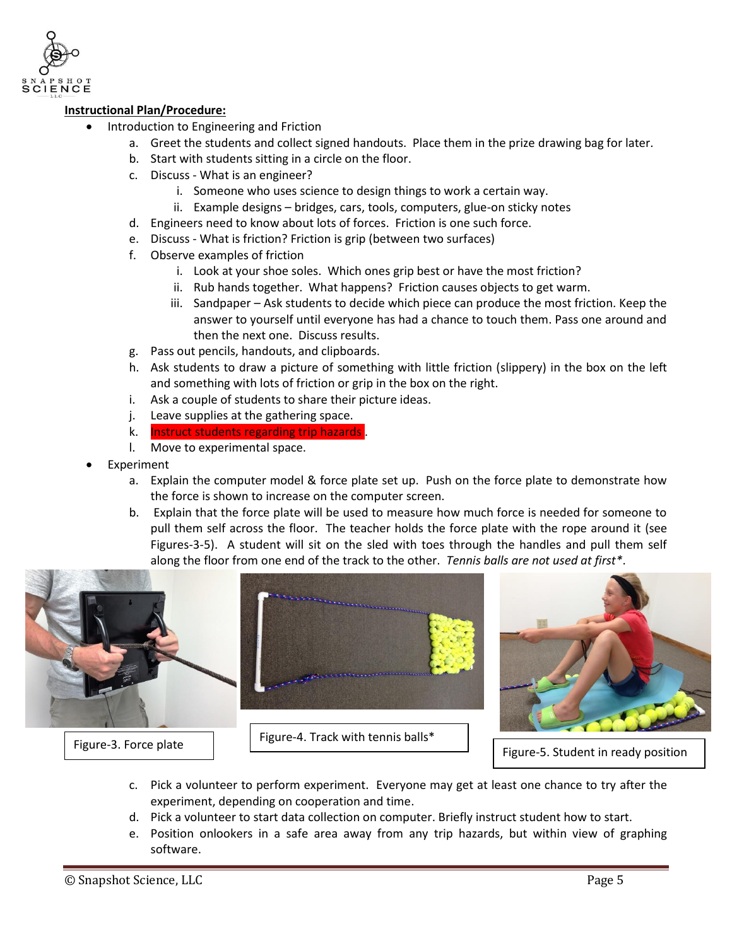

#### **Instructional Plan/Procedure:**

- Introduction to Engineering and Friction
	- a. Greet the students and collect signed handouts. Place them in the prize drawing bag for later.
	- b. Start with students sitting in a circle on the floor.
	- c. Discuss What is an engineer?
		- i. Someone who uses science to design things to work a certain way.
		- ii. Example designs bridges, cars, tools, computers, glue-on sticky notes
	- d. Engineers need to know about lots of forces. Friction is one such force.
	- e. Discuss What is friction? Friction is grip (between two surfaces)
	- f. Observe examples of friction
		- i. Look at your shoe soles. Which ones grip best or have the most friction?
		- ii. Rub hands together. What happens? Friction causes objects to get warm.
		- iii. Sandpaper Ask students to decide which piece can produce the most friction. Keep the answer to yourself until everyone has had a chance to touch them. Pass one around and then the next one. Discuss results.
	- g. Pass out pencils, handouts, and clipboards.
	- h. Ask students to draw a picture of something with little friction (slippery) in the box on the left and something with lots of friction or grip in the box on the right.
	- i. Ask a couple of students to share their picture ideas.
	- j. Leave supplies at the gathering space.
	- k. Instruct students regarding trip hazards .
	- l. Move to experimental space.
- Experiment
	- a. Explain the computer model & force plate set up. Push on the force plate to demonstrate how the force is shown to increase on the computer screen.
	- b. Explain that the force plate will be used to measure how much force is needed for someone to pull them self across the floor. The teacher holds the force plate with the rope around it (see Figures-3-5). A student will sit on the sled with toes through the handles and pull them self along the floor from one end of the track to the other. *Tennis balls are not used at first\**.





Figure-3. Force plate Figure-4. Track with tennis balls\*



Figure-5. Student in ready position

- c. Pick a volunteer to perform experiment. Everyone may get at least one chance to try after the experiment, depending on cooperation and time.
- d. Pick a volunteer to start data collection on computer. Briefly instruct student how to start.
- e. Position onlookers in a safe area away from any trip hazards, but within view of graphing software.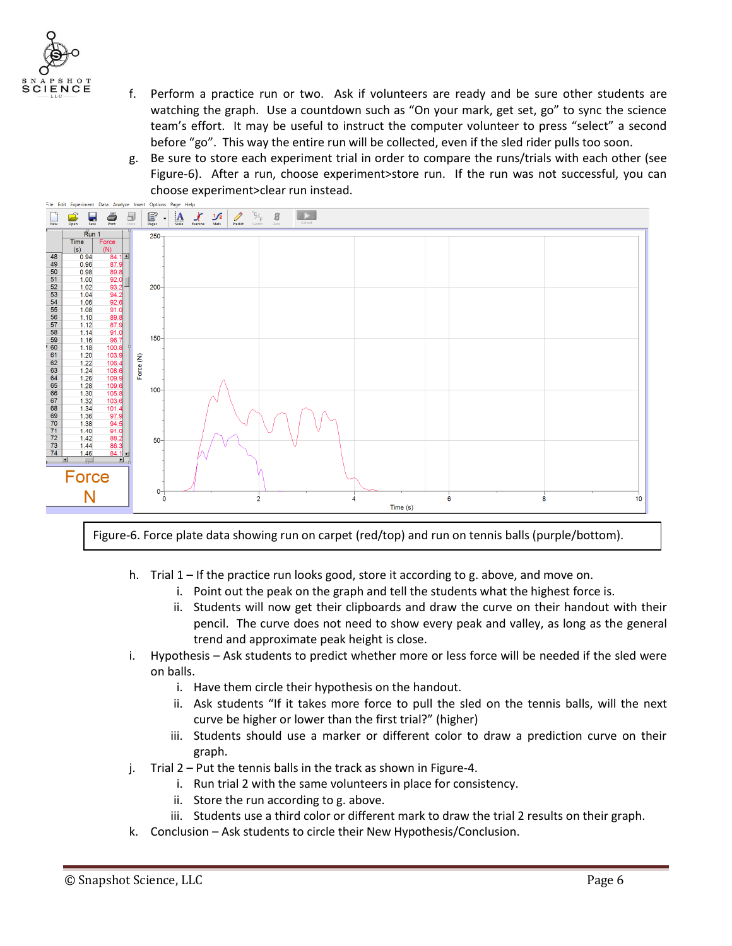

- f. Perform a practice run or two. Ask if volunteers are ready and be sure other students are watching the graph. Use a countdown such as "On your mark, get set, go" to sync the science team's effort. It may be useful to instruct the computer volunteer to press "select" a second before "go". This way the entire run will be collected, even if the sled rider pulls too soon.
- g. Be sure to store each experiment trial in order to compare the runs/trials with each other (see Figure-6). After a run, choose experiment>store run. If the run was not successful, you can choose experiment>clear run instead.



Figure-6. Force plate data showing run on carpet (red/top) and run on tennis balls (purple/bottom).

- h. Trial 1 If the practice run looks good, store it according to g. above, and move on.
	- i. Point out the peak on the graph and tell the students what the highest force is.
	- ii. Students will now get their clipboards and draw the curve on their handout with their pencil. The curve does not need to show every peak and valley, as long as the general trend and approximate peak height is close.
- i. Hypothesis Ask students to predict whether more or less force will be needed if the sled were on balls.
	- i. Have them circle their hypothesis on the handout.
	- ii. Ask students "If it takes more force to pull the sled on the tennis balls, will the next curve be higher or lower than the first trial?" (higher)
	- iii. Students should use a marker or different color to draw a prediction curve on their graph.
- j. Trial 2 Put the tennis balls in the track as shown in Figure-4.
	- i. Run trial 2 with the same volunteers in place for consistency.
	- ii. Store the run according to g. above.
	- iii. Students use a third color or different mark to draw the trial 2 results on their graph.
- k. Conclusion Ask students to circle their New Hypothesis/Conclusion.